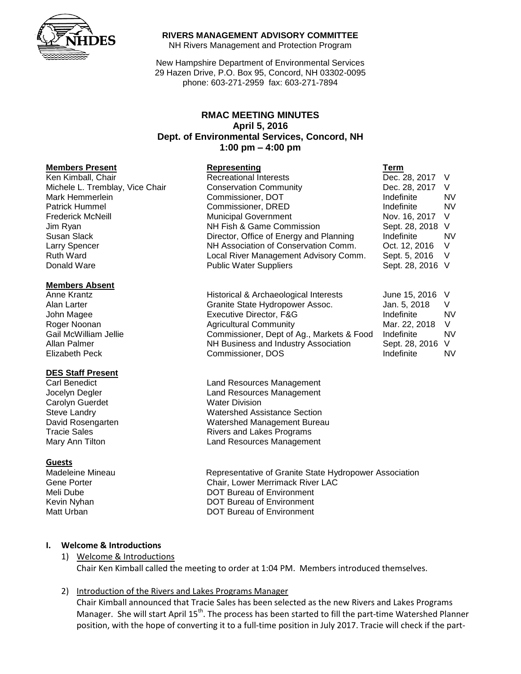

#### **RIVERS MANAGEMENT ADVISORY COMMITTEE**

NH Rivers Management and Protection Program

New Hampshire Department of Environmental Services 29 Hazen Drive, P.O. Box 95, Concord, NH 03302-0095 phone: 603-271-2959 fax: 603-271-7894

# **RMAC MEETING MINUTES April 5, 2016 Dept. of Environmental Services, Concord, NH 1:00 pm – 4:00 pm**

# **Members Present Representing Term**

Ken Kimball, Chair **Recreational Interests Recreational Interests Dec. 28, 2017** V

#### **Members Absent**

#### **DES Staff Present**

Carolyn Guerdet Water Division

#### **Guests**

| 1011 1011 10011, OTION          |                                         | $DUU$ . $LU$ . $LU$ ii $V$ |           |
|---------------------------------|-----------------------------------------|----------------------------|-----------|
| Michele L. Tremblay, Vice Chair | <b>Conservation Community</b>           | Dec. 28, 2017 V            |           |
| Mark Hemmerlein                 | Commissioner, DOT                       | Indefinite                 | <b>NV</b> |
| Patrick Hummel                  | Commissioner, DRED                      | Indefinite                 | <b>NV</b> |
| <b>Frederick McNeill</b>        | <b>Municipal Government</b>             | Nov. 16, 2017 V            |           |
| Jim Ryan                        | NH Fish & Game Commission               | Sept. 28, 2018 V           |           |
| Susan Slack                     | Director, Office of Energy and Planning | Indefinite                 | <b>NV</b> |
| <b>Larry Spencer</b>            | NH Association of Conservation Comm.    | Oct. 12, 2016              |           |
| <b>Ruth Ward</b>                | Local River Management Advisory Comm.   | Sept. 5, 2016 V            |           |
| Donald Ware                     | <b>Public Water Suppliers</b>           | Sept. 28, 2016 V           |           |
|                                 |                                         |                            |           |

| Anne Krantz           | Historical & Archaeological Interests     | June 15, 2016 V  |           |
|-----------------------|-------------------------------------------|------------------|-----------|
| Alan Larter           | Granite State Hydropower Assoc.           | Jan. 5, 2018     |           |
| John Magee            | Executive Director, F&G                   | Indefinite       | <b>NV</b> |
| Roger Noonan          | <b>Agricultural Community</b>             | Mar. 22, 2018    | - V       |
| Gail McWilliam Jellie | Commissioner, Dept of Ag., Markets & Food | Indefinite       | <b>NV</b> |
| Allan Palmer          | NH Business and Industry Association      | Sept. 28, 2016 V |           |
| Elizabeth Peck        | Commissioner, DOS                         | Indefinite       | <b>NV</b> |

Carl Benedict **Carl Benedict Land Resources Management** Jocelyn Degler Land Resources Management Steve Landry **National Steve Landry Contract Contract Contract Contract Contract Contract Contract Contract Contract Contract Contract Contract Contract Contract Contract Contract Contract Contract Contract Contract Contra** David Rosengarten Watershed Management Bureau Tracie Sales **Rivers** and Lakes Programs Mary Ann Tilton **Land Resources Management** 

Madeleine Mineau Representative of Granite State Hydropower Association Gene Porter Chair, Lower Merrimack River LAC Meli Dube **DOT Bureau of Environment** Kevin Nyhan **National Community** DOT Bureau of Environment Matt Urban **DOT Bureau of Environment** 

## **I. Welcome & Introductions**

1) Welcome & Introductions Chair Ken Kimball called the meeting to order at 1:04 PM. Members introduced themselves.

## 2) Introduction of the Rivers and Lakes Programs Manager

Chair Kimball announced that Tracie Sales has been selected as the new Rivers and Lakes Programs Manager. She will start April 15<sup>th</sup>. The process has been started to fill the part-time Watershed Planner position, with the hope of converting it to a full-time position in July 2017. Tracie will check if the part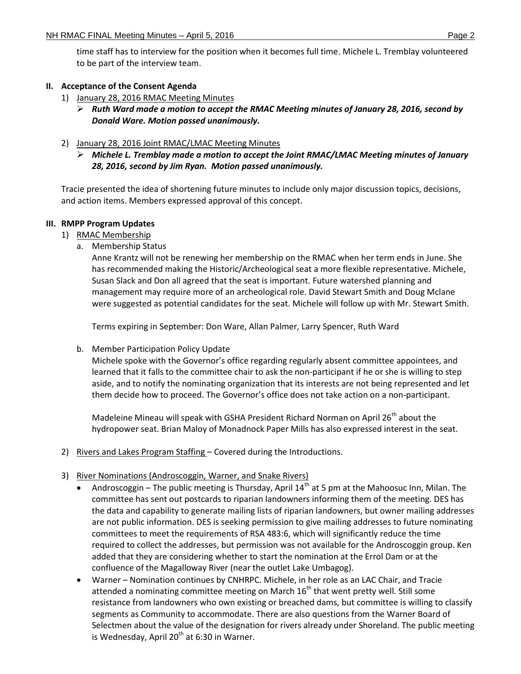time staff has to interview for the position when it becomes full time. Michele L. Tremblay volunteered to be part of the interview team.

# **II. Acceptance of the Consent Agenda**

- 1) January 28, 2016 RMAC Meeting Minutes
	- *Ruth Ward made a motion to accept the RMAC Meeting minutes of January 28, 2016, second by Donald Ware. Motion passed unanimously.*
- 2) January 28, 2016 Joint RMAC/LMAC Meeting Minutes
	- *Michele L. Tremblay made a motion to accept the Joint RMAC/LMAC Meeting minutes of January 28, 2016, second by Jim Ryan. Motion passed unanimously.*

Tracie presented the idea of shortening future minutes to include only major discussion topics, decisions, and action items. Members expressed approval of this concept.

# **III. RMPP Program Updates**

- 1) RMAC Membership
	- a. Membership Status

Anne Krantz will not be renewing her membership on the RMAC when her term ends in June. She has recommended making the Historic/Archeological seat a more flexible representative. Michele, Susan Slack and Don all agreed that the seat is important. Future watershed planning and management may require more of an archeological role. David Stewart Smith and Doug Mclane were suggested as potential candidates for the seat. Michele will follow up with Mr. Stewart Smith.

Terms expiring in September: Don Ware, Allan Palmer, Larry Spencer, Ruth Ward

b. Member Participation Policy Update

Michele spoke with the Governor's office regarding regularly absent committee appointees, and learned that it falls to the committee chair to ask the non-participant if he or she is willing to step aside, and to notify the nominating organization that its interests are not being represented and let them decide how to proceed. The Governor's office does not take action on a non-participant.

Madeleine Mineau will speak with GSHA President Richard Norman on April 26<sup>th</sup> about the hydropower seat. Brian Maloy of Monadnock Paper Mills has also expressed interest in the seat.

- 2) Rivers and Lakes Program Staffing Covered during the Introductions.
- 3) River Nominations (Androscoggin, Warner, and Snake Rivers)
	- Androscoggin The public meeting is Thursday, April  $14<sup>th</sup>$  at 5 pm at the Mahoosuc Inn, Milan. The committee has sent out postcards to riparian landowners informing them of the meeting. DES has the data and capability to generate mailing lists of riparian landowners, but owner mailing addresses are not public information. DES is seeking permission to give mailing addresses to future nominating committees to meet the requirements of RSA 483:6, which will significantly reduce the time required to collect the addresses, but permission was not available for the Androscoggin group. Ken added that they are considering whether to start the nomination at the Errol Dam or at the confluence of the Magalloway River (near the outlet Lake Umbagog).
	- Warner Nomination continues by CNHRPC. Michele, in her role as an LAC Chair, and Tracie attended a nominating committee meeting on March  $16<sup>th</sup>$  that went pretty well. Still some resistance from landowners who own existing or breached dams, but committee is willing to classify segments as Community to accommodate. There are also questions from the Warner Board of Selectmen about the value of the designation for rivers already under Shoreland. The public meeting is Wednesday, April 20<sup>th</sup> at 6:30 in Warner.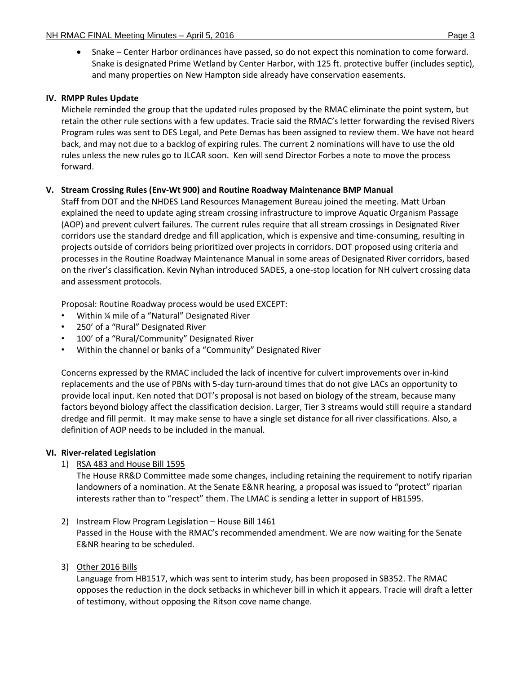Snake – Center Harbor ordinances have passed, so do not expect this nomination to come forward. Snake is designated Prime Wetland by Center Harbor, with 125 ft. protective buffer (includes septic), and many properties on New Hampton side already have conservation easements.

# **IV. RMPP Rules Update**

Michele reminded the group that the updated rules proposed by the RMAC eliminate the point system, but retain the other rule sections with a few updates. Tracie said the RMAC's letter forwarding the revised Rivers Program rules was sent to DES Legal, and Pete Demas has been assigned to review them. We have not heard back, and may not due to a backlog of expiring rules. The current 2 nominations will have to use the old rules unless the new rules go to JLCAR soon. Ken will send Director Forbes a note to move the process forward.

## **V. Stream Crossing Rules (Env-Wt 900) and Routine Roadway Maintenance BMP Manual**

Staff from DOT and the NHDES Land Resources Management Bureau joined the meeting. Matt Urban explained the need to update aging stream crossing infrastructure to improve Aquatic Organism Passage (AOP) and prevent culvert failures. The current rules require that all stream crossings in Designated River corridors use the standard dredge and fill application, which is expensive and time-consuming, resulting in projects outside of corridors being prioritized over projects in corridors. DOT proposed using criteria and processes in the Routine Roadway Maintenance Manual in some areas of Designated River corridors, based on the river's classification. Kevin Nyhan introduced SADES, a one-stop location for NH culvert crossing data and assessment protocols.

Proposal: Routine Roadway process would be used EXCEPT:

- Within ¼ mile of a "Natural" Designated River
- 250' of a "Rural" Designated River
- 100' of a "Rural/Community" Designated River
- Within the channel or banks of a "Community" Designated River

Concerns expressed by the RMAC included the lack of incentive for culvert improvements over in-kind replacements and the use of PBNs with 5-day turn-around times that do not give LACs an opportunity to provide local input. Ken noted that DOT's proposal is not based on biology of the stream, because many factors beyond biology affect the classification decision. Larger, Tier 3 streams would still require a standard dredge and fill permit. It may make sense to have a single set distance for all river classifications. Also, a definition of AOP needs to be included in the manual.

## **VI. River-related Legislation**

1) RSA 483 and House Bill 1595

The House RR&D Committee made some changes, including retaining the requirement to notify riparian landowners of a nomination. At the Senate E&NR hearing, a proposal was issued to "protect" riparian interests rather than to "respect" them. The LMAC is sending a letter in support of HB1595.

- 2) Instream Flow Program Legislation House Bill 1461 Passed in the House with the RMAC's recommended amendment. We are now waiting for the Senate E&NR hearing to be scheduled.
- 3) Other 2016 Bills

Language from HB1517, which was sent to interim study, has been proposed in SB352. The RMAC opposes the reduction in the dock setbacks in whichever bill in which it appears. Tracie will draft a letter of testimony, without opposing the Ritson cove name change.